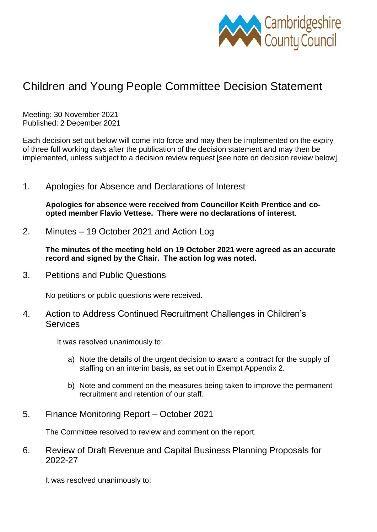

## Children and Young People Committee Decision Statement

Meeting: 30 November 2021 Published: 2 December 2021

Each decision set out below will come into force and may then be implemented on the expiry of three full working days after the publication of the decision statement and may then be implemented, unless subject to a decision review request [see note on decision review below].

1. Apologies for Absence and Declarations of Interest

**Apologies for absence were received from Councillor Keith Prentice and coopted member Flavio Vettese. There were no declarations of interest**.

2. Minutes – 19 October 2021 and Action Log

**The minutes of the meeting held on 19 October 2021 were agreed as an accurate record and signed by the Chair. The action log was noted.**

3. Petitions and Public Questions

No petitions or public questions were received.

4. Action to Address Continued Recruitment Challenges in Children's **Services** 

It was resolved unanimously to:

- a) Note the details of the urgent decision to award a contract for the supply of staffing on an interim basis, as set out in Exempt Appendix 2.
- b) Note and comment on the measures being taken to improve the permanent recruitment and retention of our staff.
- 5. Finance Monitoring Report October 2021

The Committee resolved to review and comment on the report.

6. Review of Draft Revenue and Capital Business Planning Proposals for 2022-27

It was resolved unanimously to: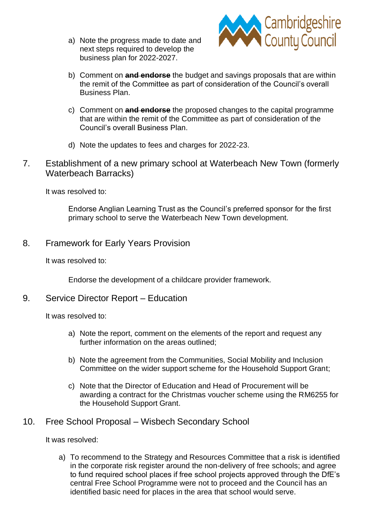a) Note the progress made to date and next steps required to develop the business plan for 2022-2027.



- b) Comment on **and endorse** the budget and savings proposals that are within the remit of the Committee as part of consideration of the Council's overall Business Plan.
- c) Comment on **and endorse** the proposed changes to the capital programme that are within the remit of the Committee as part of consideration of the Council's overall Business Plan.
- d) Note the updates to fees and charges for 2022-23.
- 7. Establishment of a new primary school at Waterbeach New Town (formerly Waterbeach Barracks)

It was resolved to:

Endorse Anglian Learning Trust as the Council's preferred sponsor for the first primary school to serve the Waterbeach New Town development.

8. Framework for Early Years Provision

It was resolved to:

Endorse the development of a childcare provider framework.

## 9. Service Director Report – Education

It was resolved to:

- a) Note the report, comment on the elements of the report and request any further information on the areas outlined;
- b) Note the agreement from the Communities, Social Mobility and Inclusion Committee on the wider support scheme for the Household Support Grant;
- c) Note that the Director of Education and Head of Procurement will be awarding a contract for the Christmas voucher scheme using the RM6255 for the Household Support Grant.
- 10. Free School Proposal Wisbech Secondary School

It was resolved:

a) To recommend to the Strategy and Resources Committee that a risk is identified in the corporate risk register around the non-delivery of free schools; and agree to fund required school places if free school projects approved through the DfE's central Free School Programme were not to proceed and the Council has an identified basic need for places in the area that school would serve.